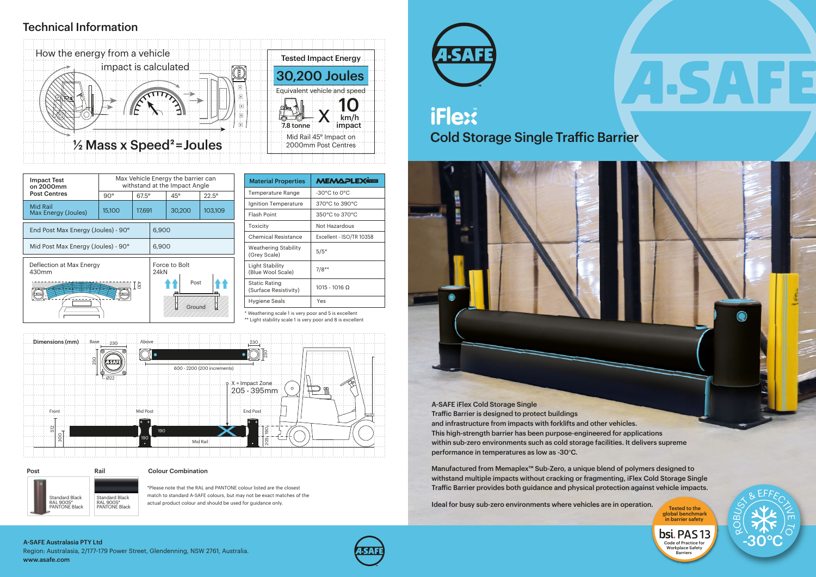

Post Rail Standard Black RAL 9005\* PANTONE Black Standard Black RAL 9005\* PANTONE Black

\* Weathering scale 1 is very poor and 5 is excellent

\*\* Light stability scale 1 is very poor and 8 is excellent

| <b>Impact Test</b><br>on 2000mm        | Max Vehicle Energy the barrier can<br>withstand at the Impact Angle |              |                       |            |                |
|----------------------------------------|---------------------------------------------------------------------|--------------|-----------------------|------------|----------------|
| <b>Post Centres</b>                    | $90^{\circ}$                                                        | $67.5^\circ$ |                       | $45^\circ$ | $22.5^{\circ}$ |
| <b>Mid Rail</b><br>Max Energy (Joules) | 15,100                                                              | 17,691       |                       | 30,200     | 103,109        |
| End Post Max Energy (Joules) - 90°     |                                                                     |              | 6,900                 |            |                |
| Mid Post Max Energy (Joules) - 90°     |                                                                     |              | 6,900                 |            |                |
| Deflection at Max Energy<br>430mm      |                                                                     |              | Force to Bolt<br>24kN |            |                |
| Ξã                                     |                                                                     |              | Post<br>Ground        |            |                |

Traffic Barrier is designed to protect buildings and infrastructure from impacts with forklifts and other vehicles. This high-strength barrier has been purpose-engineered for applications within sub-zero environments such as cold storage facilities. It delivers supreme performance in temperatures as low as -30°C.

Manufactured from Memaplex™ Sub-Zero, a unique blend of polymers designed to withstand multiple impacts without cracking or fragmenting, iFlex Cold Storage Single Traffic Barrier provides both guidance and physical protection against vehicle impacts.

Ideal for busy sub-zero environments where vehicles are in operation.

| <b>MEMAPLEX®EE</b>               |  |  |
|----------------------------------|--|--|
| $-30^{\circ}$ C to $0^{\circ}$ C |  |  |
| 370°C to 390°C                   |  |  |
| 350°C to 370°C                   |  |  |
| Not Hazardous                    |  |  |
| Excellent - ISO/TR 10358         |  |  |
| $5/5*$                           |  |  |
| $7/8**$                          |  |  |
| $1015 - 1016$ $\Omega$           |  |  |
| Yes                              |  |  |
|                                  |  |  |

### Colour Combination

\*Please note that the RAL and PANTONE colour listed are the closest match to standard A-SAFE colours, but may not be exact matches of the actual product colour and should be used for guidance only.

# iFlex® **Cold Storage Single Traffic Barrier**





A-SAFE iFlex Cold Storage Single

global benchmark in barrier safety

bsi. PAS 13 Code of Practice for Workplace Safety **Barriers** 

Region: Australasia, 2/177-179 Power Street, Glendenning, NSW 2761, Australia. www.asafe.com A-SAFE Australasia PTY Ltd



### Technical Information